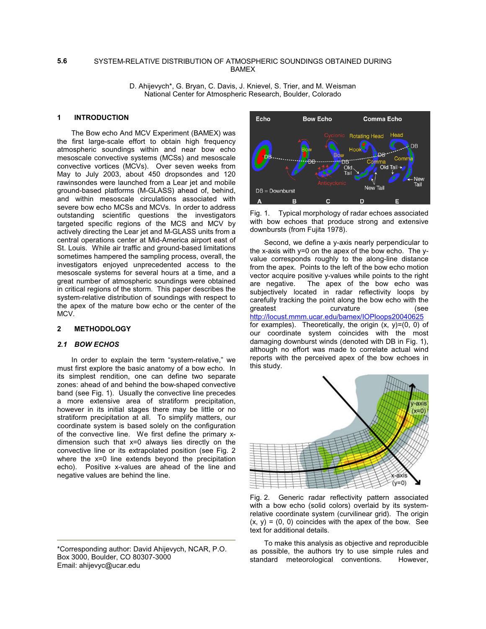#### SYSTEM-RELATIVE DISTRIBUTION OF ATMOSPHERIC SOUNDINGS OBTAINED DURING BAMEX **5.6**

D. Ahijevych\*, G. Bryan, C. Davis, J. Knievel, S. Trier, and M. Weisman National Center for Atmospheric Research, Boulder, Colorado

# **1 INTRODUCTION**

The Bow echo And MCV Experiment (BAMEX) was the first large-scale effort to obtain high frequency atmospheric soundings within and near bow echo mesoscale convective systems (MCSs) and mesoscale convective vortices (MCVs). Over seven weeks from May to July 2003, about 450 dropsondes and 120 rawinsondes were launched from a Lear jet and mobile ground-based platforms (M-GLASS) ahead of, behind, and within mesoscale circulations associated with severe bow echo MCSs and MCVs. In order to address outstanding scientific questions the investigators targeted specific regions of the MCS and MCV by actively directing the Lear jet and M-GLASS units from a central operations center at Mid-America airport east of St. Louis. While air traffic and ground-based limitations sometimes hampered the sampling process, overall, the investigators enjoyed unprecedented access to the mesoscale systems for several hours at a time, and a great number of atmospheric soundings were obtained in critical regions of the storm. This paper describes the system-relative distribution of soundings with respect to the apex of the mature bow echo or the center of the MCV.

#### **2 METHODOLOGY**

# *2.1 BOW ECHOS*

In order to explain the term "system-relative," we must first explore the basic anatomy of a bow echo. In its simplest rendition, one can define two separate zones: ahead of and behind the bow-shaped convective band (see Fig. 1). Usually the convective line precedes a more extensive area of stratiform precipitation, however in its initial stages there may be little or no stratiform precipitation at all. To simplify matters, our coordinate system is based solely on the configuration of the convective line. We first define the primary xdimension such that x=0 always lies directly on the convective line or its extrapolated position (see Fig. 2 where the x=0 line extends beyond the precipitation echo). Positive x-values are ahead of the line and negative values are behind the line.



Fig. 1. Typical morphology of radar echoes associated with bow echoes that produce strong and extensive downbursts (from Fujita 1978).

Second, we define a y-axis nearly perpendicular to the x-axis with y=0 on the apex of the bow echo. The yvalue corresponds roughly to the along-line distance from the apex. Points to the left of the bow echo motion vector acquire positive y-values while points to the right are negative. The apex of the bow echo was subjectively located in radar reflectivity loops by carefully tracking the point along the bow echo with the greatest curvature (see http://locust.mmm.ucar.edu/bamex/IOPloops20040625 for examples). Theoretically, the origin  $(x, y)=(0, 0)$  of our coordinate system coincides with the most damaging downburst winds (denoted with DB in Fig. 1), although no effort was made to correlate actual wind reports with the perceived apex of the bow echoes in this study.



Fig. 2. Generic radar reflectivity pattern associated with a bow echo (solid colors) overlaid by its systemrelative coordinate system (curvilinear grid). The origin  $(x, y) = (0, 0)$  coincides with the apex of the bow. See text for additional details.

To make this analysis as objective and reproducible as possible, the authors try to use simple rules and standard meteorological conventions. However,

<sup>\*</sup>Corresponding author: David Ahijevych, NCAR, P.O. Box 3000, Boulder, CO 80307-3000 Email: ahijevyc@ucar.edu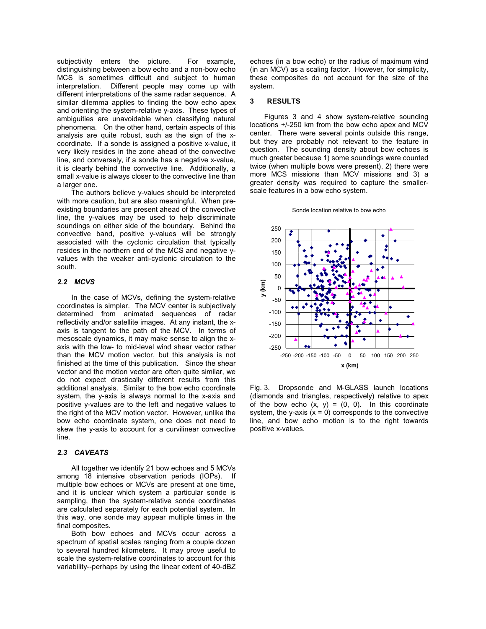subjectivity enters the picture. For example, distinguishing between a bow echo and a non-bow echo MCS is sometimes difficult and subject to human interpretation. Different people may come up with different interpretations of the same radar sequence. A similar dilemma applies to finding the bow echo apex and orienting the system-relative y-axis. These types of ambiguities are unavoidable when classifying natural phenomena. On the other hand, certain aspects of this analysis are quite robust, such as the sign of the xcoordinate. If a sonde is assigned a positive x-value, it very likely resides in the zone ahead of the convective line, and conversely, if a sonde has a negative x-value, it is clearly behind the convective line. Additionally, a small x-value is always closer to the convective line than a larger one.

The authors believe y-values should be interpreted with more caution, but are also meaningful. When preexisting boundaries are present ahead of the convective line, the y-values may be used to help discriminate soundings on either side of the boundary. Behind the convective band, positive y-values will be strongly associated with the cyclonic circulation that typically resides in the northern end of the MCS and negative yvalues with the weaker anti-cyclonic circulation to the south.

## *2.2 MCVS*

In the case of MCVs, defining the system-relative coordinates is simpler. The MCV center is subjectively determined from animated sequences of radar reflectivity and/or satellite images. At any instant, the xaxis is tangent to the path of the MCV. In terms of mesoscale dynamics, it may make sense to align the xaxis with the low- to mid-level wind shear vector rather than the MCV motion vector, but this analysis is not finished at the time of this publication. Since the shear vector and the motion vector are often quite similar, we do not expect drastically different results from this additional analysis. Similar to the bow echo coordinate system, the y-axis is always normal to the x-axis and positive y-values are to the left and negative values to the right of the MCV motion vector. However, unlike the bow echo coordinate system, one does not need to skew the y-axis to account for a curvilinear convective line.

## *2.3 CAVEATS*

All together we identify 21 bow echoes and 5 MCVs among 18 intensive observation periods (IOPs). If multiple bow echoes or MCVs are present at one time, and it is unclear which system a particular sonde is sampling, then the system-relative sonde coordinates are calculated separately for each potential system. In this way, one sonde may appear multiple times in the final composites.

Both bow echoes and MCVs occur across a spectrum of spatial scales ranging from a couple dozen to several hundred kilometers. It may prove useful to scale the system-relative coordinates to account for this variability--perhaps by using the linear extent of 40-dBZ

echoes (in a bow echo) or the radius of maximum wind (in an MCV) as a scaling factor. However, for simplicity, these composites do not account for the size of the system.

#### **3 RESULTS**

Figures 3 and 4 show system-relative sounding locations +/-250 km from the bow echo apex and MCV center. There were several points outside this range, but they are probably not relevant to the feature in question. The sounding density about bow echoes is much greater because 1) some soundings were counted twice (when multiple bows were present), 2) there were more MCS missions than MCV missions and 3) a greater density was required to capture the smallerscale features in a bow echo system.

#### Sonde location relative to bow echo



Fig. 3. Dropsonde and M-GLASS launch locations (diamonds and triangles, respectively) relative to apex of the bow echo  $(x, y) = (0, 0)$ . In this coordinate system, the y-axis  $(x = 0)$  corresponds to the convective line, and bow echo motion is to the right towards positive x-values.